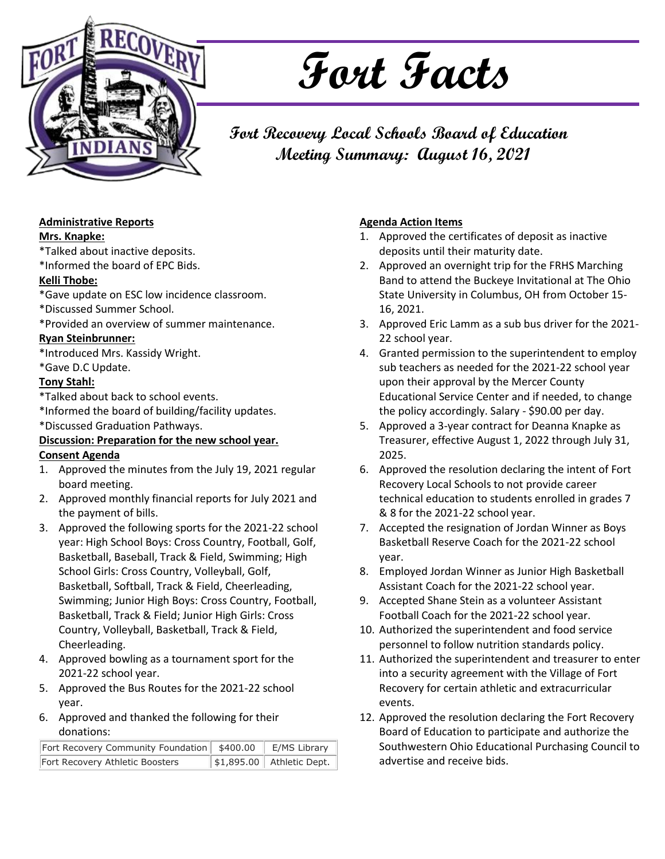

# **Fort Facts**

**Fort Recovery Local Schools Board of Education Meeting Summary: August 16, 2021**

### **Administrative Reports**

#### **Mrs. Knapke:**

\*Talked about inactive deposits.

\*Informed the board of EPC Bids.

#### **Kelli Thobe:**

\*Gave update on ESC low incidence classroom.

#### \*Discussed Summer School.

\*Provided an overview of summer maintenance.

#### **Ryan Steinbrunner:**

\*Introduced Mrs. Kassidy Wright.

\*Gave D.C Update.

#### **Tony Stahl:**

\*Talked about back to school events.

\*Informed the board of building/facility updates.

\*Discussed Graduation Pathways.

#### **Discussion: Preparation for the new school year. Consent Agenda**

- 1. Approved the minutes from the July 19, 2021 regular board meeting.
- 2. Approved monthly financial reports for July 2021 and the payment of bills.
- 3. Approved the following sports for the 2021-22 school year: High School Boys: Cross Country, Football, Golf, Basketball, Baseball, Track & Field, Swimming; High School Girls: Cross Country, Volleyball, Golf, Basketball, Softball, Track & Field, Cheerleading, Swimming; Junior High Boys: Cross Country, Football, Basketball, Track & Field; Junior High Girls: Cross Country, Volleyball, Basketball, Track & Field, Cheerleading.
- 4. Approved bowling as a tournament sport for the 2021-22 school year.
- 5. Approved the Bus Routes for the 2021-22 school year.
- 6. Approved and thanked the following for their donations:

| Fort Recovery Community Foundation \$400.00 F/MS Library |                           |
|----------------------------------------------------------|---------------------------|
| Fort Recovery Athletic Boosters                          | \$1,895.00 Athletic Dept. |

### **Agenda Action Items**

- 1. Approved the certificates of deposit as inactive deposits until their maturity date.
- 2. Approved an overnight trip for the FRHS Marching Band to attend the Buckeye Invitational at The Ohio State University in Columbus, OH from October 15- 16, 2021.
- 3. Approved Eric Lamm as a sub bus driver for the 2021- 22 school year.
- 4. Granted permission to the superintendent to employ sub teachers as needed for the 2021-22 school year upon their approval by the Mercer County Educational Service Center and if needed, to change the policy accordingly. Salary - \$90.00 per day.
- 5. Approved a 3-year contract for Deanna Knapke as Treasurer, effective August 1, 2022 through July 31, 2025.
- 6. Approved the resolution declaring the intent of Fort Recovery Local Schools to not provide career technical education to students enrolled in grades 7 & 8 for the 2021-22 school year.
- 7. Accepted the resignation of Jordan Winner as Boys Basketball Reserve Coach for the 2021-22 school year.
- 8. Employed Jordan Winner as Junior High Basketball Assistant Coach for the 2021-22 school year.
- 9. Accepted Shane Stein as a volunteer Assistant Football Coach for the 2021-22 school year.
- 10. Authorized the superintendent and food service personnel to follow nutrition standards policy.
- 11. Authorized the superintendent and treasurer to enter into a security agreement with the Village of Fort Recovery for certain athletic and extracurricular events.
- 12. Approved the resolution declaring the Fort Recovery Board of Education to participate and authorize the Southwestern Ohio Educational Purchasing Council to advertise and receive bids.